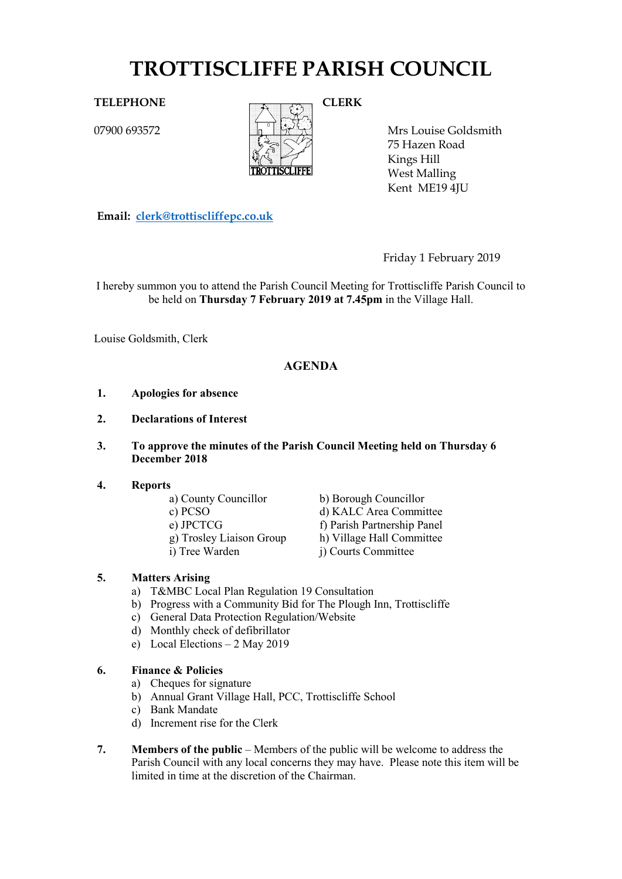# **TROTTISCLIFFE PARISH COUNCIL**

07900 693572



Mrs Louise Goldsmith 75 Hazen Road Kings Hill West Malling Kent ME19 4JU

**Email: [clerk@trottiscliffepc.co.uk](mailto:clerk@trottiscliffepc.co.uk)**

Friday 1 February 2019

I hereby summon you to attend the Parish Council Meeting for Trottiscliffe Parish Council to be held on **Thursday 7 February 2019 at 7.45pm** in the Village Hall.

Louise Goldsmith, Clerk

# **AGENDA**

- **1. Apologies for absence**
- **2. Declarations of Interest**
- **3. To approve the minutes of the Parish Council Meeting held on Thursday 6 December 2018**

# **4. Reports**

- 
- 
- 
- 
- 

a) County Councillor<br>
c) PCSO<br>
d) KALC Area Commi d) KALC Area Committee e) JPCTCG f) Parish Partnership Panel g) Trosley Liaison Group h) Village Hall Committee i) Tree Warden j) Courts Committee

# **5. Matters Arising**

- a) T&MBC Local Plan Regulation 19 Consultation
- b) Progress with a Community Bid for The Plough Inn, Trottiscliffe
- c) General Data Protection Regulation/Website
- d) Monthly check of defibrillator
- e) Local Elections 2 May 2019

# **6. Finance & Policies**

- a) Cheques for signature
- b) Annual Grant Village Hall, PCC, Trottiscliffe School
- c) Bank Mandate
- d) Increment rise for the Clerk
- **7. Members of the public** Members of the public will be welcome to address the Parish Council with any local concerns they may have. Please note this item will be limited in time at the discretion of the Chairman.